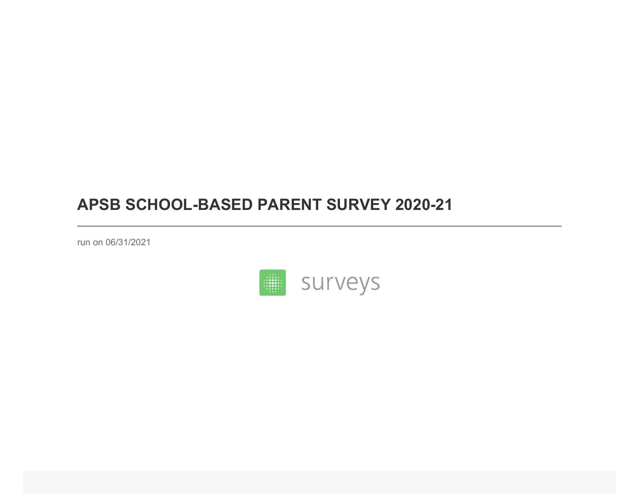## **APSB SCHOOL-BASED PARENT SURVEY 2020-21**

run on 06/31/2021

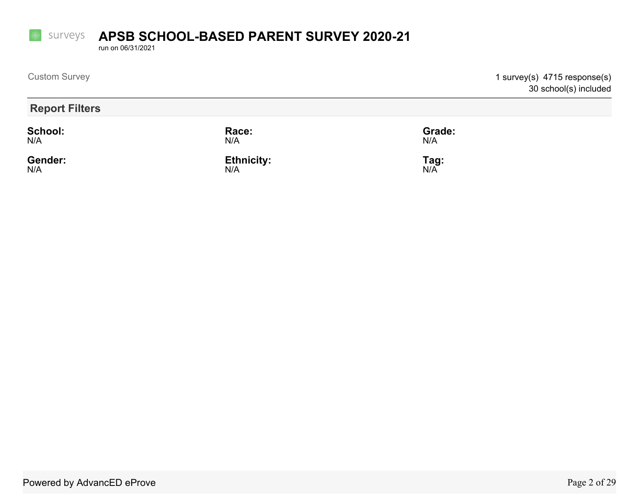## **SUITVEYS APSB SCHOOL-BASED PARENT SURVEY 2020-21**

run on 06/31/2021

**Fille** 

| <b>Custom Survey</b>  |                          |               | 1 survey(s) 4715 response(s)<br>30 school(s) included |
|-----------------------|--------------------------|---------------|-------------------------------------------------------|
| <b>Report Filters</b> |                          |               |                                                       |
| <b>School:</b><br>N/A | Race:<br>N/A             | Grade:<br>N/A |                                                       |
| Gender:<br>N/A        | <b>Ethnicity:</b><br>N/A | Tag:<br>N/A   |                                                       |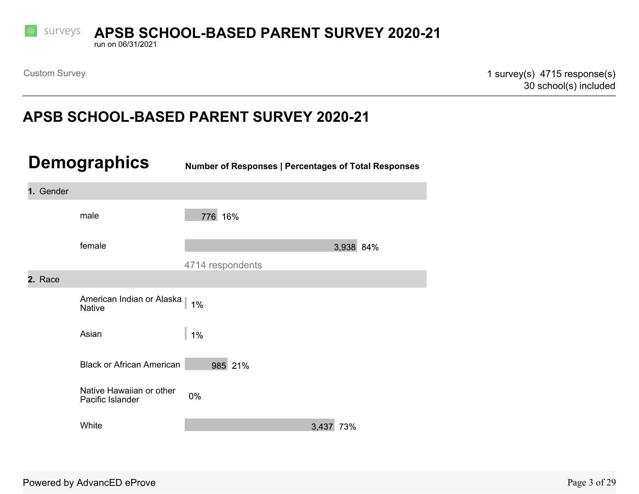

## **SUITVEYS APSB SCHOOL-BASED PARENT SURVEY 2020-21**

run on 06/31/2021

Custom Survey 2001 1 survey (s) 4715 response(s) 30 school(s) included

## **APSB SCHOOL-BASED PARENT SURVEY 2020-21**

| <b>Demographics</b> |                                              | <b>Number of Responses   Percentages of Total Responses</b> |           |  |
|---------------------|----------------------------------------------|-------------------------------------------------------------|-----------|--|
| 1. Gender           |                                              |                                                             |           |  |
|                     | male                                         | 776 16%                                                     |           |  |
|                     | female                                       |                                                             | 3,938 84% |  |
|                     |                                              | 4714 respondents                                            |           |  |
| 2. Race             |                                              |                                                             |           |  |
|                     | American Indian or Alaska<br><b>Native</b>   | $1\%$                                                       |           |  |
|                     | Asian                                        | $1\%$                                                       |           |  |
|                     | <b>Black or African American</b>             | 985 21%                                                     |           |  |
|                     | Native Hawaiian or other<br>Pacific Islander | $0\%$                                                       |           |  |
|                     | White                                        |                                                             | 3,437 73% |  |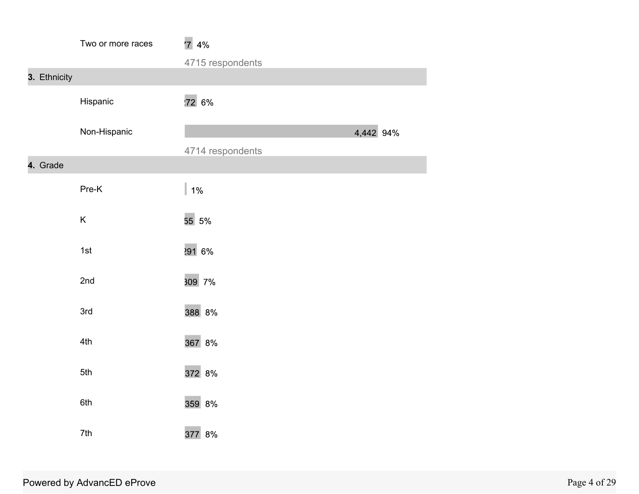|              | Two or more races | 74%              |           |
|--------------|-------------------|------------------|-----------|
|              |                   | 4715 respondents |           |
| 3. Ethnicity |                   |                  |           |
|              | Hispanic          | 72 6%            |           |
|              | Non-Hispanic      |                  | 4,442 94% |
|              |                   | 4714 respondents |           |
| 4. Grade     |                   |                  |           |
|              | Pre-K             | $1\%$            |           |
|              | Κ                 | 55 5%            |           |
|              | 1st               | 291 6%           |           |
|              | 2nd               | 309 7%           |           |
|              | 3rd               | 388 8%           |           |
|              | 4th               | 367 8%           |           |
|              | 5th               | 372 8%           |           |
|              | 6th               | 359 8%           |           |
|              | 7th               | 377 8%           |           |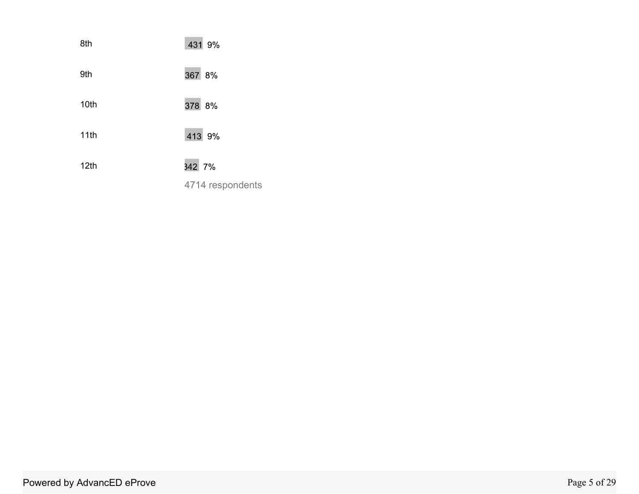| 8th  | 431 9%           |
|------|------------------|
| 9th  | 367 8%           |
| 10th | 378 8%           |
| 11th | 413 9%           |
| 12th | 342 7%           |
|      | 4714 respondents |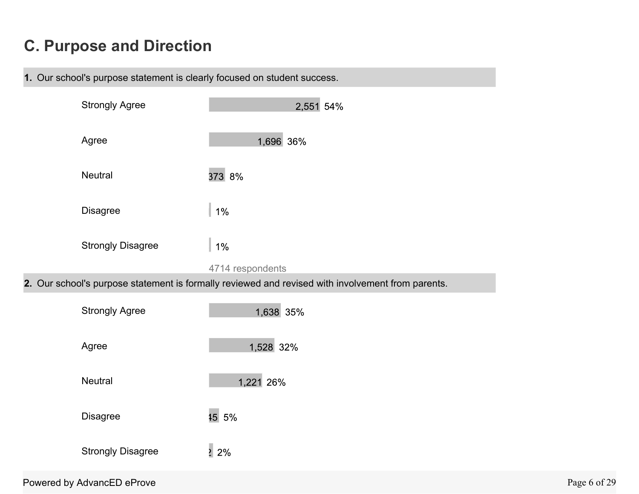# **C. Purpose and Direction**



| <b>Strongly Agree</b>      | 2,551 54%                                                                                         |
|----------------------------|---------------------------------------------------------------------------------------------------|
| Agree                      | 1,696 36%                                                                                         |
| Neutral                    | 373 8%                                                                                            |
| Disagree                   | $1\%$                                                                                             |
| <b>Strongly Disagree</b>   | $1\%$                                                                                             |
|                            | 4714 respondents                                                                                  |
|                            | 2. Our school's purpose statement is formally reviewed and revised with involvement from parents. |
| <b>Strongly Agree</b>      | 1,638 35%                                                                                         |
| Agree                      | 1,528 32%                                                                                         |
| <b>Neutral</b>             | 1,221 26%                                                                                         |
| Disagree                   | 15 5%                                                                                             |
| <b>Strongly Disagree</b>   | $\frac{1}{2}$ 2%                                                                                  |
| Powered by AdvancED eProve |                                                                                                   |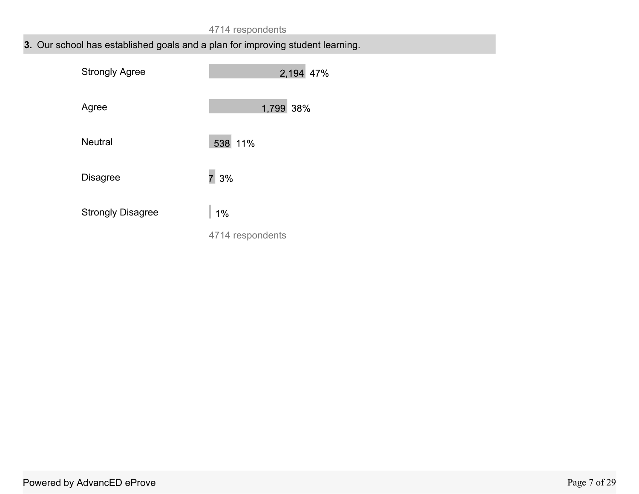## **3.** Our school has established goals and a plan for improving student learning.

| <b>Strongly Agree</b>    | 2,194 47%        |
|--------------------------|------------------|
| Agree                    | 1,799 38%        |
| <b>Neutral</b>           | 538 11%          |
| <b>Disagree</b>          | 73%              |
| <b>Strongly Disagree</b> | 1%               |
|                          | 4714 respondents |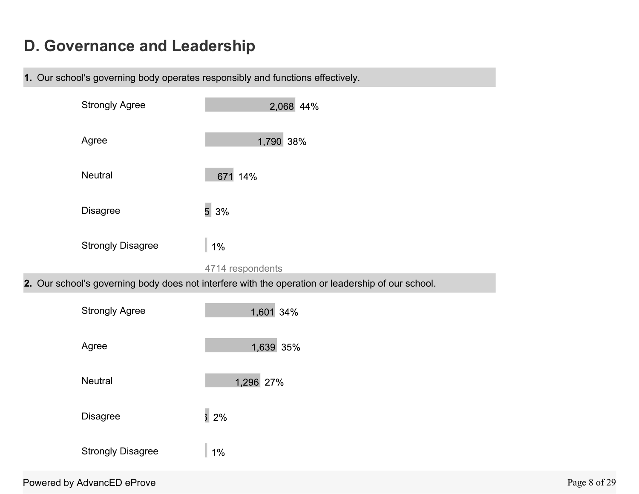# **D. Governance and Leadership**

**1.** Our school's governing body operates responsibly and functions effectively.

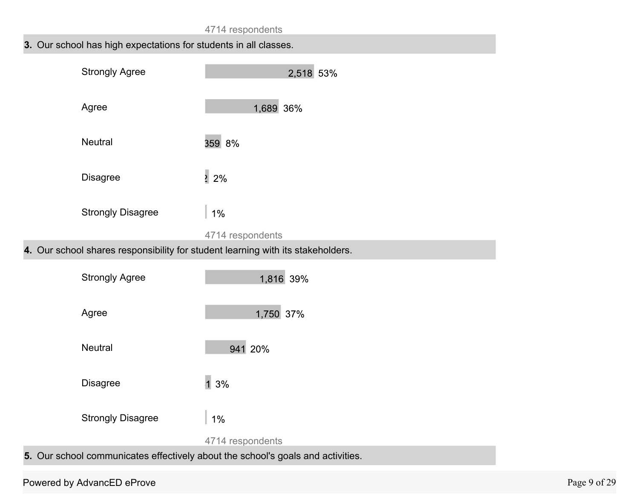### **3.** Our school has high expectations for students in all classes.

| <b>Strongly Agree</b>    | 2,518 53%        |
|--------------------------|------------------|
| Agree                    | 1,689 36%        |
| <b>Neutral</b>           | 359 8%           |
| <b>Disagree</b>          | $2\frac{2}{6}$   |
| <b>Strongly Disagree</b> | $1\%$            |
|                          | 4714 respondents |

**4.** Our school shares responsibility for student learning with its stakeholders.

| <b>Strongly Agree</b>    | 1,816 39%        |
|--------------------------|------------------|
| Agree                    | 1,750 37%        |
| <b>Neutral</b>           | 941 20%          |
| <b>Disagree</b>          | 13%              |
| <b>Strongly Disagree</b> | 1%               |
|                          | 4714 respondents |
|                          |                  |

**5.** Our school communicates effectively about the school's goals and activities.

### Powered by AdvancED eProve Page 9 of 29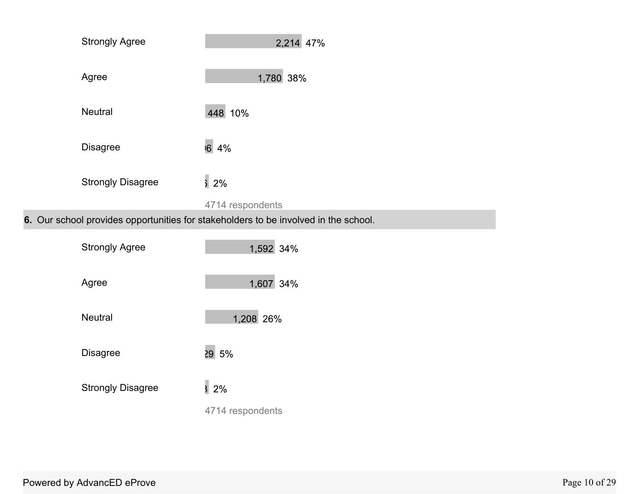| <b>Strongly Agree</b>    | 2,214 47%                                                                           |
|--------------------------|-------------------------------------------------------------------------------------|
| Agree                    | 1,780 38%                                                                           |
| <b>Neutral</b>           | 448 10%                                                                             |
| <b>Disagree</b>          | 16 4%                                                                               |
| <b>Strongly Disagree</b> | $\frac{1}{2}$ 2%                                                                    |
|                          | 4714 respondents                                                                    |
|                          | 6. Our school provides opportunities for stakeholders to be involved in the school. |
| <b>Strongly Agree</b>    | 1,592 34%                                                                           |

| Agree                    | 1,607 34%        |
|--------------------------|------------------|
| <b>Neutral</b>           | 1,208 26%        |
| <b>Disagree</b>          | 29 5%            |
| <b>Strongly Disagree</b> | 32%              |
|                          | 4714 respondents |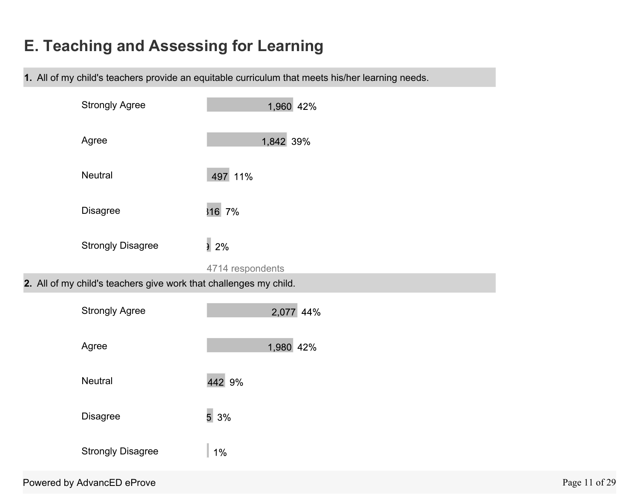# **E. Teaching and Assessing for Learning**

**1.** All of my child's teachers provide an equitable curriculum that meets his/her learning needs.

| <b>Strongly Agree</b>                                             | 1,960 42%        |
|-------------------------------------------------------------------|------------------|
| Agree                                                             | 1,842 39%        |
| Neutral                                                           | 497 11%          |
| <b>Disagree</b>                                                   | 316 7%           |
| <b>Strongly Disagree</b>                                          | 2%               |
|                                                                   | 4714 respondents |
| 2. All of my child's teachers give work that challenges my child. |                  |
| <b>Strongly Agree</b>                                             | 2,077 44%        |
| Agree                                                             | 1,980 42%        |
| Neutral                                                           | 442 9%           |
| <b>Disagree</b>                                                   | 53%              |
| <b>Strongly Disagree</b>                                          | $1\%$            |
|                                                                   |                  |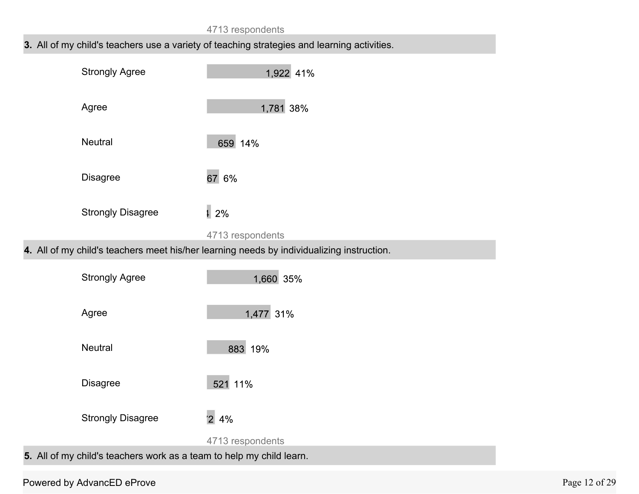#### **3.** All of my child's teachers use a variety of teaching strategies and learning activities.



**4.** All of my child's teachers meet his/her learning needs by individualizing instruction.



#### Powered by AdvancED eProve Page 12 of 29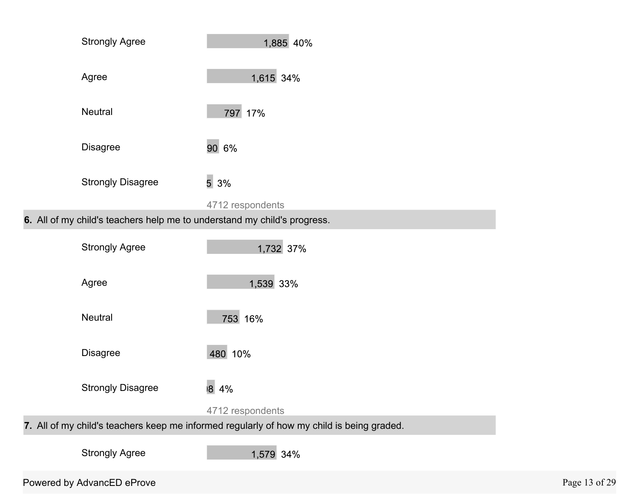| 1,615 34%<br>Agree<br><b>Neutral</b><br>797 17%<br>90 6%<br><b>Disagree</b><br>5 3%<br><b>Strongly Disagree</b><br>4712 respondents<br>6. All of my child's teachers help me to understand my child's progress.<br><b>Strongly Agree</b><br>1,732 37%<br>1,539 33%<br>Agree<br><b>Neutral</b><br>753 16%<br>480 10%<br><b>Disagree</b><br>8 4%<br><b>Strongly Disagree</b> | <b>Strongly Agree</b> | 1,885 40%        |
|----------------------------------------------------------------------------------------------------------------------------------------------------------------------------------------------------------------------------------------------------------------------------------------------------------------------------------------------------------------------------|-----------------------|------------------|
|                                                                                                                                                                                                                                                                                                                                                                            |                       |                  |
|                                                                                                                                                                                                                                                                                                                                                                            |                       |                  |
|                                                                                                                                                                                                                                                                                                                                                                            |                       |                  |
|                                                                                                                                                                                                                                                                                                                                                                            |                       |                  |
|                                                                                                                                                                                                                                                                                                                                                                            |                       |                  |
|                                                                                                                                                                                                                                                                                                                                                                            |                       |                  |
|                                                                                                                                                                                                                                                                                                                                                                            |                       |                  |
|                                                                                                                                                                                                                                                                                                                                                                            |                       |                  |
|                                                                                                                                                                                                                                                                                                                                                                            |                       |                  |
|                                                                                                                                                                                                                                                                                                                                                                            |                       |                  |
|                                                                                                                                                                                                                                                                                                                                                                            |                       | 4712 respondents |

**7.** All of my child's teachers keep me informed regularly of how my child is being graded.

Strongly Agree

1,579 34%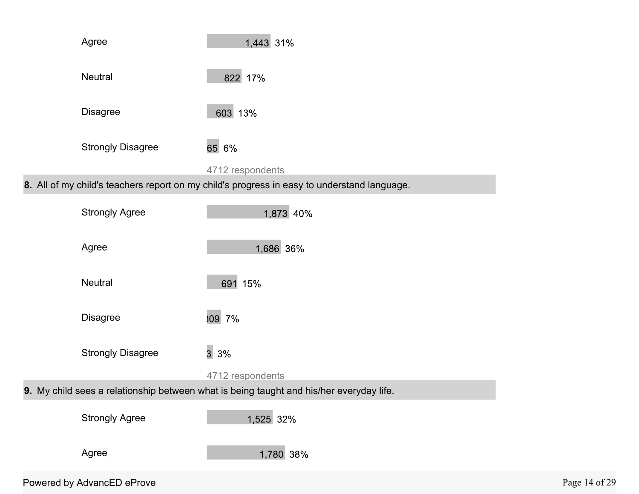| Agree                      | 1,443 31%                                                                                   |               |
|----------------------------|---------------------------------------------------------------------------------------------|---------------|
| Neutral                    | 822 17%                                                                                     |               |
| <b>Disagree</b>            | 603 13%                                                                                     |               |
| <b>Strongly Disagree</b>   | 65 6%                                                                                       |               |
|                            | 4712 respondents                                                                            |               |
|                            | 8. All of my child's teachers report on my child's progress in easy to understand language. |               |
| <b>Strongly Agree</b>      | 1,873 40%                                                                                   |               |
| Agree                      | 1,686 36%                                                                                   |               |
| Neutral                    | 691 15%                                                                                     |               |
| <b>Disagree</b>            | 309 7%                                                                                      |               |
| <b>Strongly Disagree</b>   | 33%                                                                                         |               |
|                            | 4712 respondents                                                                            |               |
|                            | 9. My child sees a relationship between what is being taught and his/her everyday life.     |               |
| <b>Strongly Agree</b>      | 1,525 32%                                                                                   |               |
| Agree                      | 1,780 38%                                                                                   |               |
| Powered by AdvancED eProve |                                                                                             | Page 14 of 29 |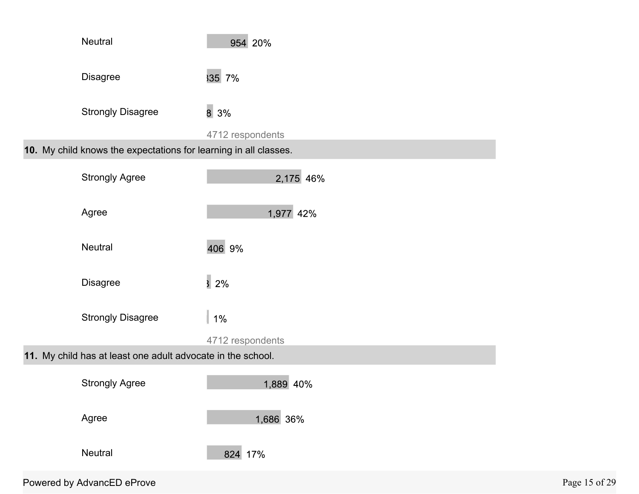|                                                             | Neutral                                                          | 954 20%           |               |
|-------------------------------------------------------------|------------------------------------------------------------------|-------------------|---------------|
|                                                             | <b>Disagree</b>                                                  | 35 7%             |               |
|                                                             | <b>Strongly Disagree</b>                                         | $8\overline{3\%}$ |               |
|                                                             |                                                                  | 4712 respondents  |               |
|                                                             | 10. My child knows the expectations for learning in all classes. |                   |               |
|                                                             | <b>Strongly Agree</b>                                            | 2,175 46%         |               |
|                                                             | Agree                                                            | 1,977 42%         |               |
|                                                             | Neutral                                                          | 406 9%            |               |
|                                                             | <b>Disagree</b>                                                  | $\overline{3}$ 2% |               |
|                                                             | <b>Strongly Disagree</b>                                         | $1\%$             |               |
|                                                             |                                                                  | 4712 respondents  |               |
| 11. My child has at least one adult advocate in the school. |                                                                  |                   |               |
|                                                             | <b>Strongly Agree</b>                                            | 1,889 40%         |               |
|                                                             | Agree                                                            | 1,686 36%         |               |
|                                                             | Neutral                                                          | 824 17%           |               |
|                                                             | Powered by AdvancED eProve                                       |                   | Page 15 of 29 |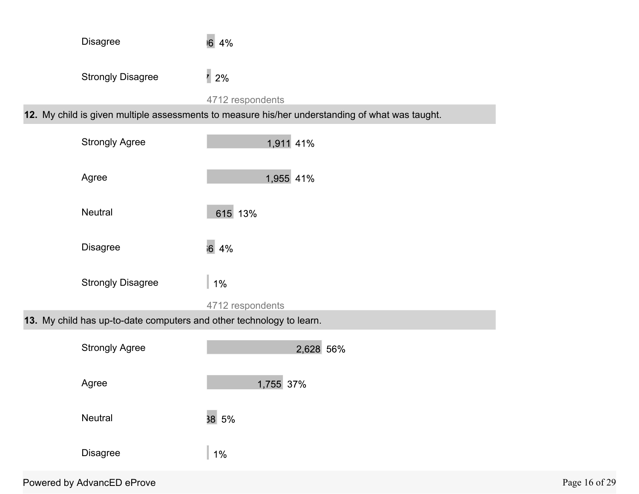| <b>Disagree</b>                                                      | $\overline{6}$<br>4%                                                                                                |               |
|----------------------------------------------------------------------|---------------------------------------------------------------------------------------------------------------------|---------------|
| <b>Strongly Disagree</b>                                             | $\frac{1}{2}$ 2%                                                                                                    |               |
|                                                                      | 4712 respondents<br>12. My child is given multiple assessments to measure his/her understanding of what was taught. |               |
|                                                                      |                                                                                                                     |               |
| <b>Strongly Agree</b>                                                | 1,911 41%                                                                                                           |               |
| Agree                                                                | 1,955 41%                                                                                                           |               |
| Neutral                                                              | 615 13%                                                                                                             |               |
| <b>Disagree</b>                                                      | 64%                                                                                                                 |               |
| <b>Strongly Disagree</b>                                             | $1\%$                                                                                                               |               |
|                                                                      | 4712 respondents                                                                                                    |               |
| 13. My child has up-to-date computers and other technology to learn. |                                                                                                                     |               |
| <b>Strongly Agree</b>                                                | 2,628 56%                                                                                                           |               |
| Agree                                                                | 1,755 37%                                                                                                           |               |
| Neutral                                                              | 38 5%                                                                                                               |               |
| <b>Disagree</b>                                                      | $1\%$                                                                                                               |               |
| Powered by AdvancED eProve                                           |                                                                                                                     | Page 16 of 29 |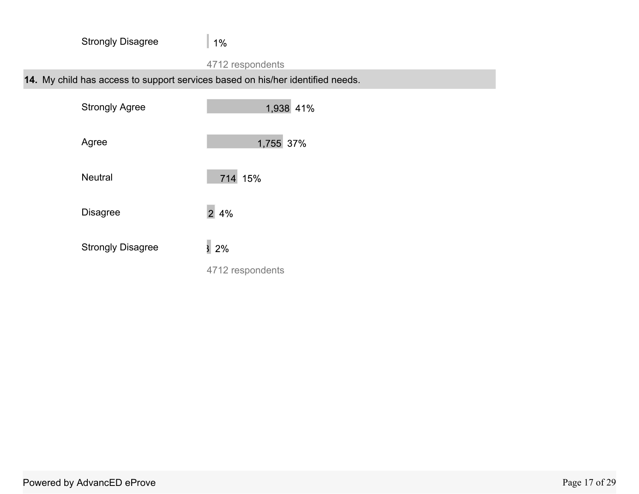| <b>Strongly Disagree</b>                                                       | $1\%$                |
|--------------------------------------------------------------------------------|----------------------|
|                                                                                | 4712 respondents     |
| 14. My child has access to support services based on his/her identified needs. |                      |
| <b>Strongly Agree</b>                                                          | 1,938 41%            |
| Agree                                                                          | 1,755 37%            |
| <b>Neutral</b>                                                                 | 714 15%              |
| <b>Disagree</b>                                                                | $\overline{2}$<br>4% |
| <b>Strongly Disagree</b>                                                       | 2%                   |

4712 respondents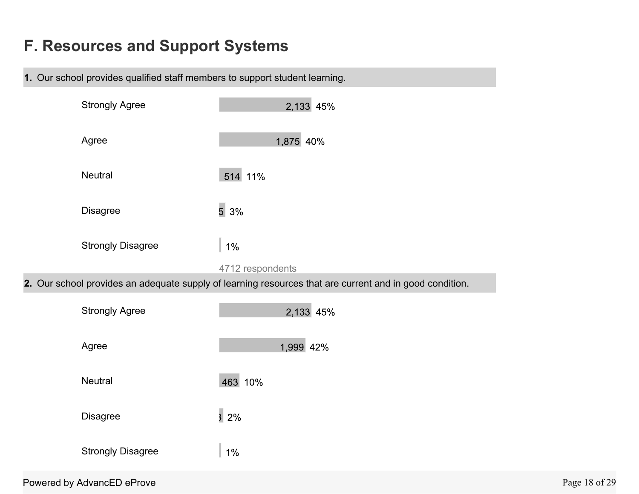# **F. Resources and Support Systems**

**1.** Our school provides qualified staff members to support student learning.

| <b>Strongly Agree</b>      | 2,133 45%                                                                                               |               |
|----------------------------|---------------------------------------------------------------------------------------------------------|---------------|
| Agree                      | 1,875 40%                                                                                               |               |
| Neutral                    | 514 11%                                                                                                 |               |
| <b>Disagree</b>            | 53%                                                                                                     |               |
| <b>Strongly Disagree</b>   | $1\%$                                                                                                   |               |
|                            | 4712 respondents                                                                                        |               |
|                            | 2. Our school provides an adequate supply of learning resources that are current and in good condition. |               |
| <b>Strongly Agree</b>      | 2,133 45%                                                                                               |               |
| Agree                      | 1,999 42%                                                                                               |               |
| Neutral                    | 463 10%                                                                                                 |               |
| <b>Disagree</b>            | $\overline{3}$ 2%                                                                                       |               |
| <b>Strongly Disagree</b>   | $1\%$                                                                                                   |               |
| Powered by AdvancED eProve |                                                                                                         | Page 18 of 29 |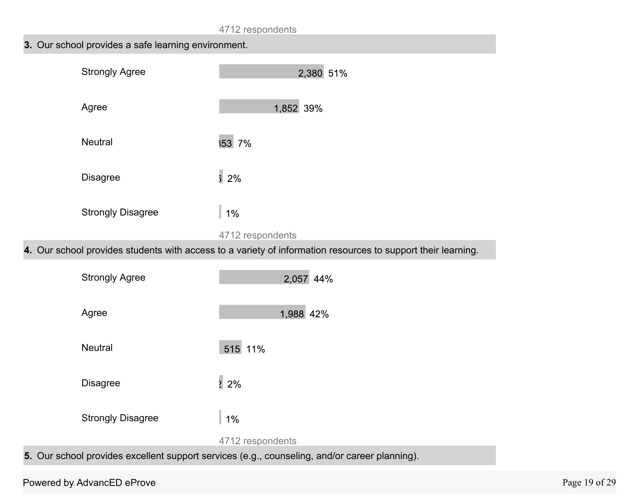## **3.** Our school provides a safe learning environment.

| <b>Strongly Agree</b>    | 2,380 51%                                                                                                                        |
|--------------------------|----------------------------------------------------------------------------------------------------------------------------------|
| Agree                    | 1,852 39%                                                                                                                        |
| <b>Neutral</b>           | 353 7%                                                                                                                           |
| <b>Disagree</b>          | $\overline{\frac{3}{2}}$ 2%                                                                                                      |
| <b>Strongly Disagree</b> | $1\%$                                                                                                                            |
|                          | 4712 respondents<br>4. Our school provides students with access to a variety of information resources to support their learning. |
|                          |                                                                                                                                  |
| <b>Strongly Agree</b>    | 2,057 44%                                                                                                                        |
| Agree                    | 1,988 42%                                                                                                                        |
| Neutral                  | 515 11%                                                                                                                          |
| Disagree                 | $\frac{1}{2}$ 2%                                                                                                                 |
| <b>Strongly Disagree</b> | $1\%$                                                                                                                            |
|                          | 4712 respondents                                                                                                                 |

**5.** Our school provides excellent support services (e.g., counseling, and/or career planning).

### Powered by AdvancED eProve Page 19 of 29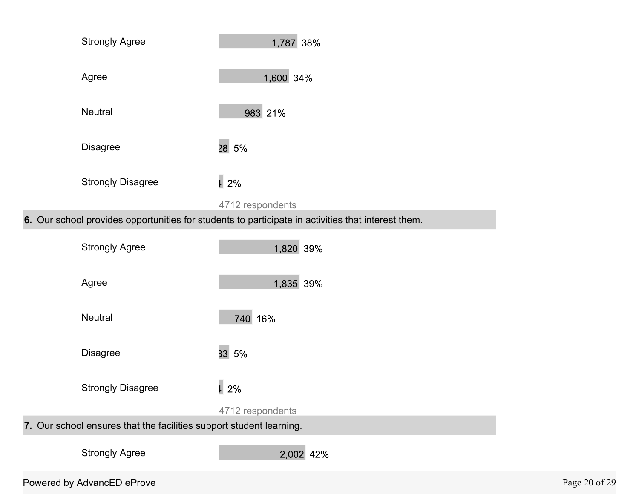| <b>Strongly Agree</b>    | 1,787 38%                                                                                          |
|--------------------------|----------------------------------------------------------------------------------------------------|
| Agree                    | 1,600 34%                                                                                          |
| Neutral                  | 983 21%                                                                                            |
| <b>Disagree</b>          | 28 5%                                                                                              |
| <b>Strongly Disagree</b> | $\sqrt{1}$ 2%                                                                                      |
|                          | 4712 respondents                                                                                   |
|                          | 6. Our school provides opportunities for students to participate in activities that interest them. |
| <b>Strongly Agree</b>    | 1,820 39%                                                                                          |
| Agree                    | 1,835 39%                                                                                          |
| Neutral                  | 740 16%                                                                                            |
|                          |                                                                                                    |

Strongly Disagree 1 2%

4712 respondents

**7.** Our school ensures that the facilities support student learning.

Strongly Agree

2,002 42%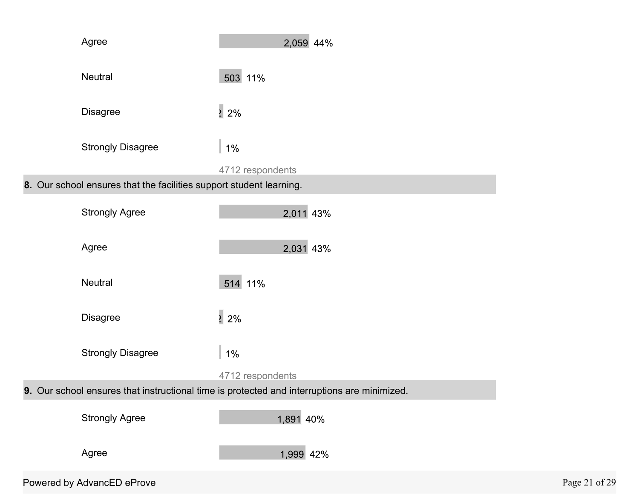|                                                                                             | Agree                                                               | 2,059 44%        |               |
|---------------------------------------------------------------------------------------------|---------------------------------------------------------------------|------------------|---------------|
|                                                                                             | Neutral                                                             | 503 11%          |               |
|                                                                                             | <b>Disagree</b>                                                     | $\frac{1}{2}$ 2% |               |
|                                                                                             | <b>Strongly Disagree</b>                                            | $1\%$            |               |
|                                                                                             |                                                                     | 4712 respondents |               |
|                                                                                             | 8. Our school ensures that the facilities support student learning. |                  |               |
|                                                                                             | <b>Strongly Agree</b>                                               | 2,011 43%        |               |
|                                                                                             | Agree                                                               | 2,031 43%        |               |
|                                                                                             | Neutral                                                             | 514 11%          |               |
|                                                                                             | <b>Disagree</b>                                                     | $\frac{1}{2}$ 2% |               |
|                                                                                             | <b>Strongly Disagree</b>                                            | $1\%$            |               |
|                                                                                             |                                                                     | 4712 respondents |               |
| 9. Our school ensures that instructional time is protected and interruptions are minimized. |                                                                     |                  |               |
|                                                                                             | <b>Strongly Agree</b>                                               | 1,891 40%        |               |
|                                                                                             | Agree                                                               | 1,999 42%        |               |
|                                                                                             | Powered by AdvancED eProve                                          |                  | Page 21 of 29 |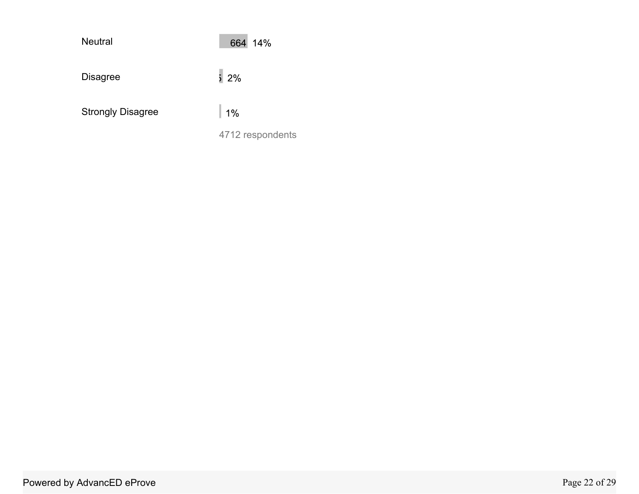| <b>Neutral</b>           | 664 14%          |
|--------------------------|------------------|
| <b>Disagree</b>          | 52%              |
| <b>Strongly Disagree</b> | 1%               |
|                          | 4712 respondents |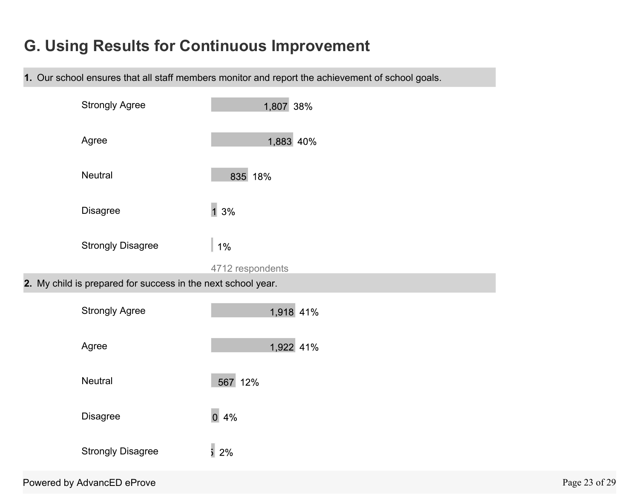# **G. Using Results for Continuous Improvement**

**1.** Our school ensures that all staff members monitor and report the achievement of school goals.

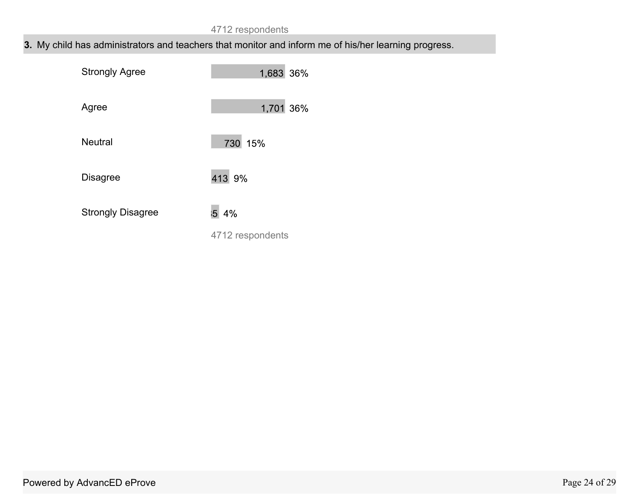## **3.** My child has administrators and teachers that monitor and inform me of his/her learning progress.

| <b>Strongly Agree</b>    | 1,683 36%        |
|--------------------------|------------------|
| Agree                    | 1,701 36%        |
| <b>Neutral</b>           | 730 15%          |
| <b>Disagree</b>          | 413 9%           |
| <b>Strongly Disagree</b> | 5 4%             |
|                          | 4712 respondents |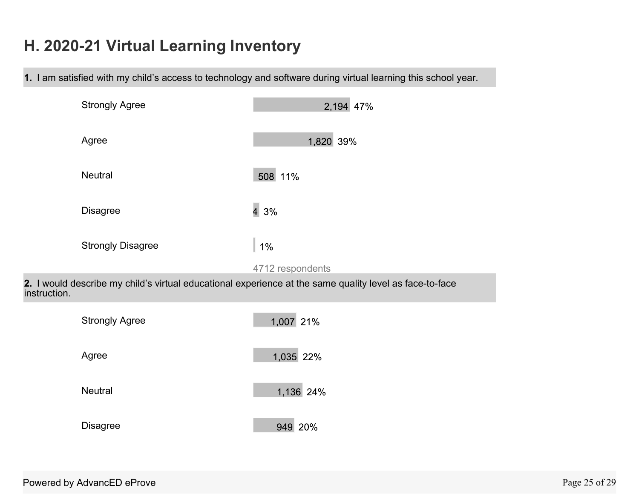# **H. 2020-21 Virtual Learning Inventory**

**1.** I am satisfied with my child's access to technology and software during virtual learning this school year.

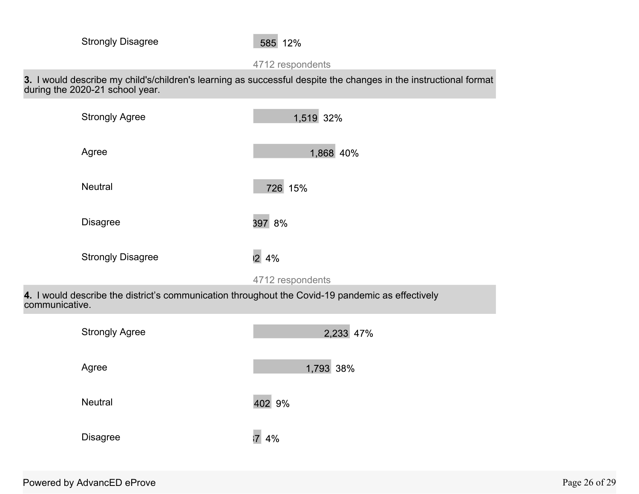#### 4712 respondents

**3.** I would describe my child's/children's learning as successful despite the changes in the instructional format during the 2020-21 school year.

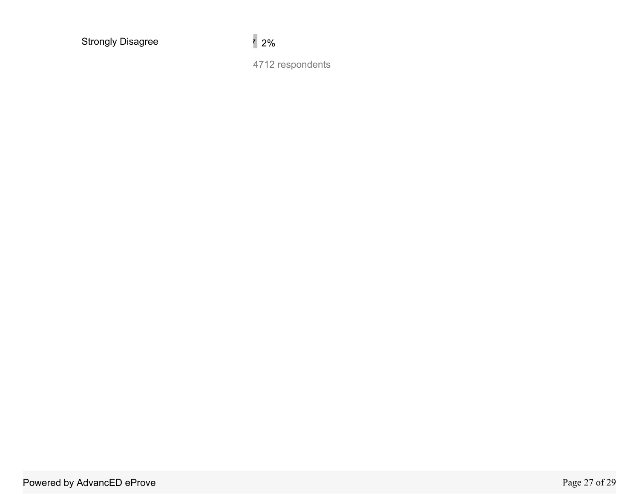Strongly Disagree 2%

4712 respondents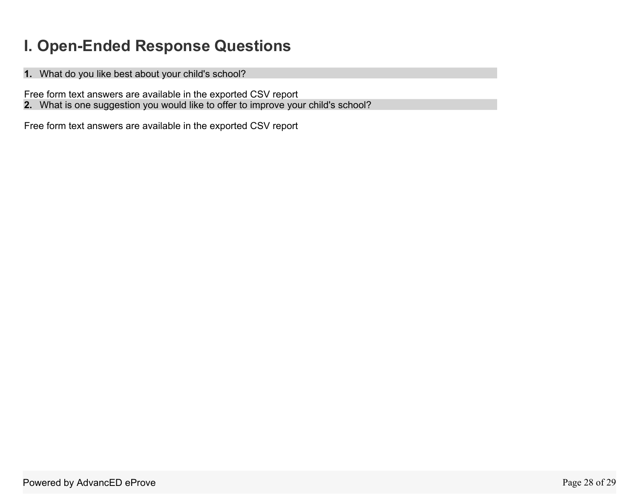# **I. Open-Ended Response Questions**

**1.** What do you like best about your child's school?

Free form text answers are available in the exported CSV report

**2.** What is one suggestion you would like to offer to improve your child's school?

Free form text answers are available in the exported CSV report